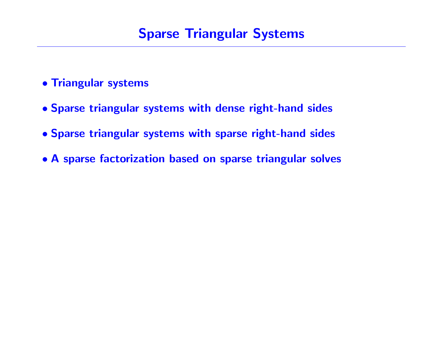# Sparse Triangular Systems

- Triangular systems
- Sparse triangular systems with dense right-hand sides
- Sparse triangular systems with sparse right-hand sides
- A sparse factorization based on sparse triangular solves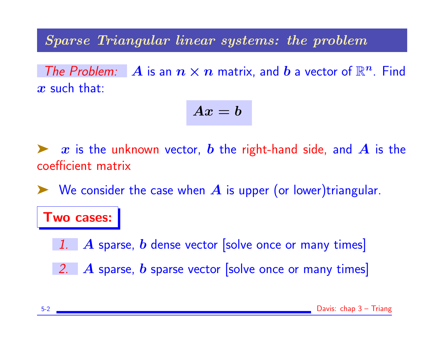Sparse Triangular linear systems: the problem

The Problem: A is an  $n \times n$  matrix, and b a vector of  $\mathbb{R}^n$ . Find  $x$  such that:

$$
Ax=b
$$

 $\blacktriangleright$  x is the unknown vector, b the right-hand side, and A is the coefficient matrix

 $\blacktriangleright$  We consider the case when  $A$  is upper (or lower)triangular.

### Two cases:

- 1.  $\bm{A}$  sparse, b dense vector solve once or many times
- 2.  $\bm{A}$  sparse, b sparse vector solve once or many times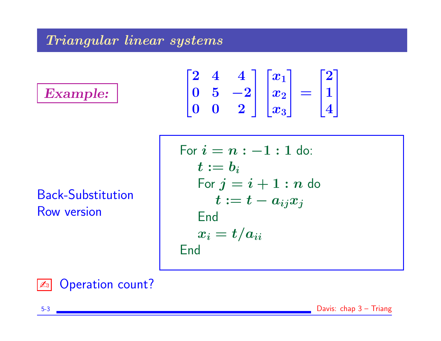### Triangular linear systems

Example:

$$
\begin{bmatrix} 2 & 4 & 4 \\ 0 & 5 & -2 \\ 0 & 0 & 2 \end{bmatrix} \begin{bmatrix} x_1 \\ x_2 \\ x_3 \end{bmatrix} = \begin{bmatrix} 2 \\ 1 \\ 4 \end{bmatrix}
$$

Back-Substitution Row version

$$
\begin{array}{c}\n\hline\n\text{For } i = n : -1 : 1 \text{ do:} \\
t := b_i \\
\hline\n\text{For } j = i + 1 : n \text{ do} \\
t := t - a_{ij}x_j \\
\hline\n\text{End} \\
x_i = t/a_{ii} \\
\hline\n\text{End}\n\end{array}
$$



**ED** Operation count?

5-3 Davis: chap 3 – Triang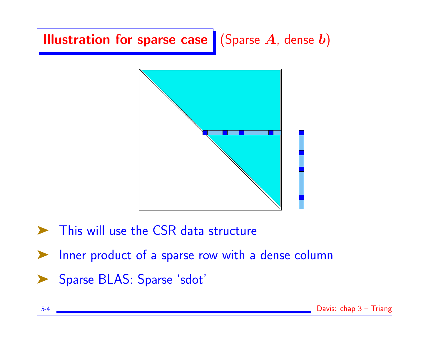



- ➤ This will use the CSR data structure
- ➤ Inner product of a sparse row with a dense column
- ➤ Sparse BLAS: Sparse 'sdot'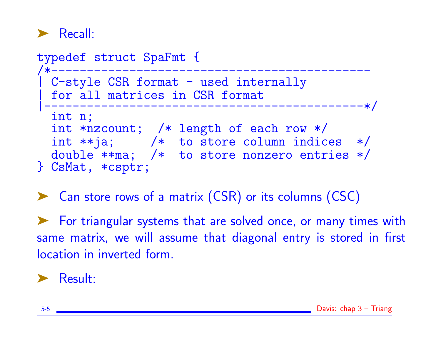

| typedef struct SpaFmt {                                                                                                                                                        |  |
|--------------------------------------------------------------------------------------------------------------------------------------------------------------------------------|--|
| C-style CSR format - used internally<br>for all matrices in CSR format                                                                                                         |  |
| int n;<br>int *nzcount; $/*$ length of each row $*/$<br>int $**$ ja; $/*$ to store column indices $*/$<br>double $**$ ma; /* to store nonzero entries $*/$<br>} CsMat, *csptr; |  |

➤ Can store rows of a matrix (CSR) or its columns (CSC)

➤ For triangular systems that are solved once, or many times with same matrix, we will assume that diagonal entry is stored in first location in inverted form.

## ➤ Result: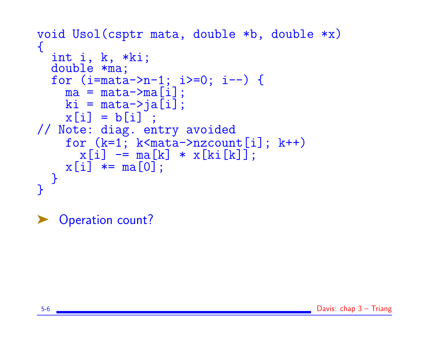```
void Usol(csptr mata, double *b, double *x)
\{int i, k, *ki;
  double *ma;
  for (i=mata->n-1; i>=0; i--) {
    ma = \text{mata}->ma[i];
    ki = \text{mata}-\frac{1}{2}x[i] = b[i] ;
// Note: diag. entry avoided
    for (k=1; k<math>mata</math>-inzcount[i]; k++)x[i] -= ma[k] * x[ki[k]];
    x[i] * = ma[0];
  }
}
```
Operation count?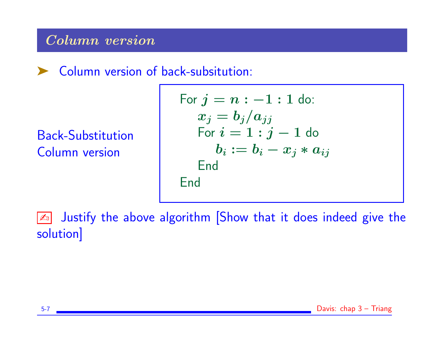### Column version

➤ Column version of back-subsitution:

Back-Substitution Column version

For 
$$
j = n : -1 : 1
$$
 do:  $x_j = b_j/a_{jj}$  For  $i = 1 : j - 1$  do  $b_i := b_i - x_j * a_{ij}$  End  $f(x) = f(x) + f(x)$ 

**Ex** Justify the above algorithm [Show that it does indeed give the solution]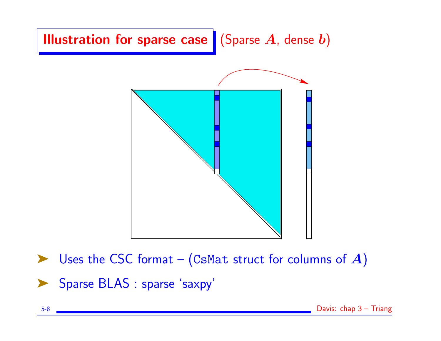

Uses the CSC format – (CsMat struct for columns of  $A$ ) Sparse BLAS : sparse 'saxpy'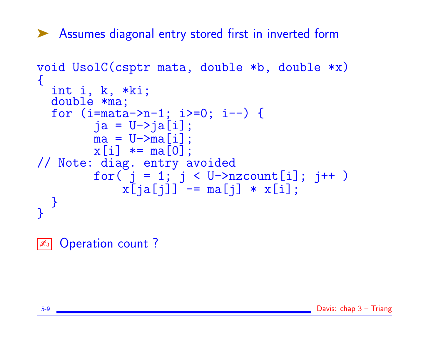➤ Assumes diagonal entry stored first in inverted form

```
void UsolC(csptr mata, double *b, double *x)
\{int i, k, *ki;
 double *ma;
  for (i=mata->n-1; i>=0; i--) {
        ja = U->ja[i];ma = U->ma[i];x[i] *= ma[0];
// Note: diag. entry avoided
        for( j = 1; j < U->nzcount[i]; j++ )
            x[ia[j]] -= ma[j] * x[i];
 }
}
```
**E** Operation count?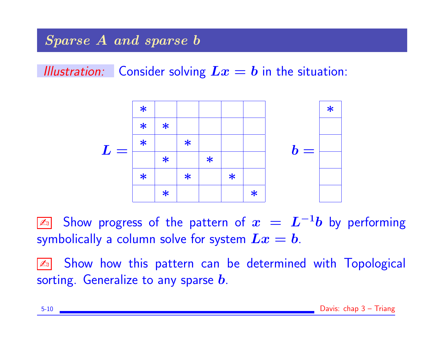## Sparse A and sparse b

Illustration: Consider solving  $Lx = b$  in the situation:



 $\boxed{\mathbb{Z}_0}$  Show progress of the pattern of  $\bm{x}~=~\bm{L}^{-1}\bm{b}$  by performing symbolically a column solve for system  $Lx = b$ .

**Ext** Show how this pattern can be determined with Topological sorting. Generalize to any sparse  $\bm{b}$ .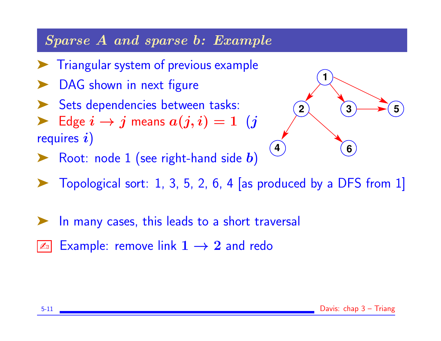### Sparse A and sparse b: Example

- ➤ Triangular system of previous example
- DAG shown in next figure
- Sets dependencies between tasks:
- $\blacktriangleright$  Edge  $i \to j$  means  $a(j, i) = 1$  (j requires  $i)$



- $\triangleright$  Root: node 1 (see right-hand side b)
- Topological sort: 1, 3, 5, 2, 6, 4 [as produced by a DFS from  $1$ ]
- In many cases, this leads to a short traversal
- Example: remove link  $1 \rightarrow 2$  and redo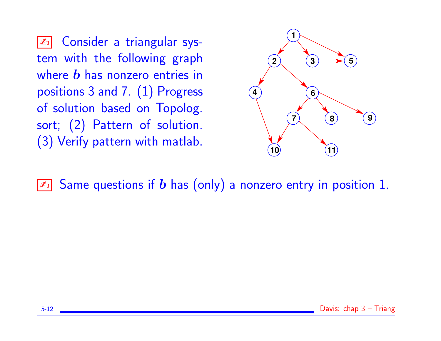✍ Consider a triangular system with the following graph where  **has nonzero entries in** positions 3 and 7. (1) Progress of solution based on Topolog. sort; (2) Pattern of solution. (3) Verify pattern with matlab.



 $\boxed{\mathbb{Z}^n}$  Same questions if  $b$  has (only) a nonzero entry in position 1.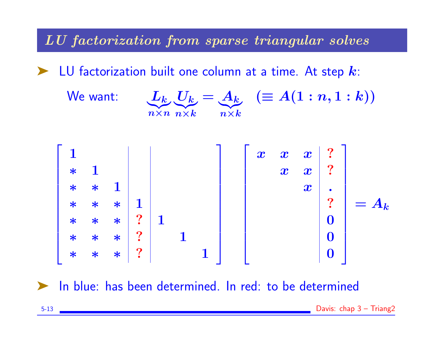LU factorization from sparse triangular solves

LU factorization built one column at a time. At step  $k$ :







In blue: has been determined. In red: to be determined

5-13 Davis: chap 3 – Triang2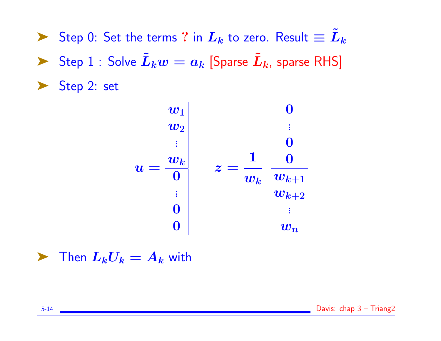▶ Step 0: Set the terms ? in  $L_k$  to zero. Result  $\equiv \tilde{L}_k$ ▶ Step 1 : Solve  $\tilde{L}_k w = a_k$  [Sparse  $\tilde{L}_k$ , sparse RHS] ▶ Step 2: set

$$
u = \begin{vmatrix} w_1 \\ w_2 \\ \vdots \\ w_k \\ 0 \\ \vdots \\ 0 \end{vmatrix} \quad z = \frac{1}{w_k} \begin{vmatrix} 0 \\ \vdots \\ 0 \\ w_{k+1} \\ \vdots \\ w_{k+2} \\ \vdots \\ w_n \end{vmatrix}
$$

 $\blacktriangleright$  Then  $L_kU_k = A_k$  with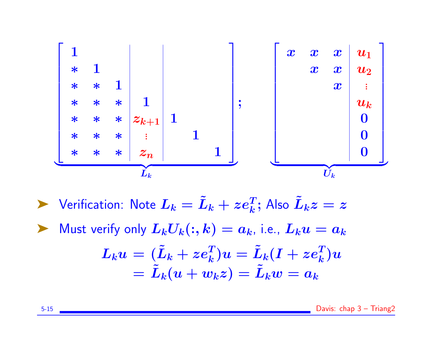

 $\blacktriangleright$  Verification: Note  $L_k = \tilde{L}_k + z e_k^T;$  Also  $\tilde{L}_k z = z$ Must verify only  $L_kU_k(:, k) = a_k$ , i.e.,  $L_ku = a_k$  $\boldsymbol{L}_{k} \boldsymbol{u} \, = \, (\tilde{L}_{k} + z \boldsymbol{e}_{k}^{T}) \boldsymbol{u} = \tilde{L}_{k}(\boldsymbol{I} + z \boldsymbol{e}_{k}^{T}) \boldsymbol{u}$  $=\tilde{L}_k(u + w_kz) = \tilde{L}_kw = a_k$ 

5-15 Davis: chap 3 – Triang2